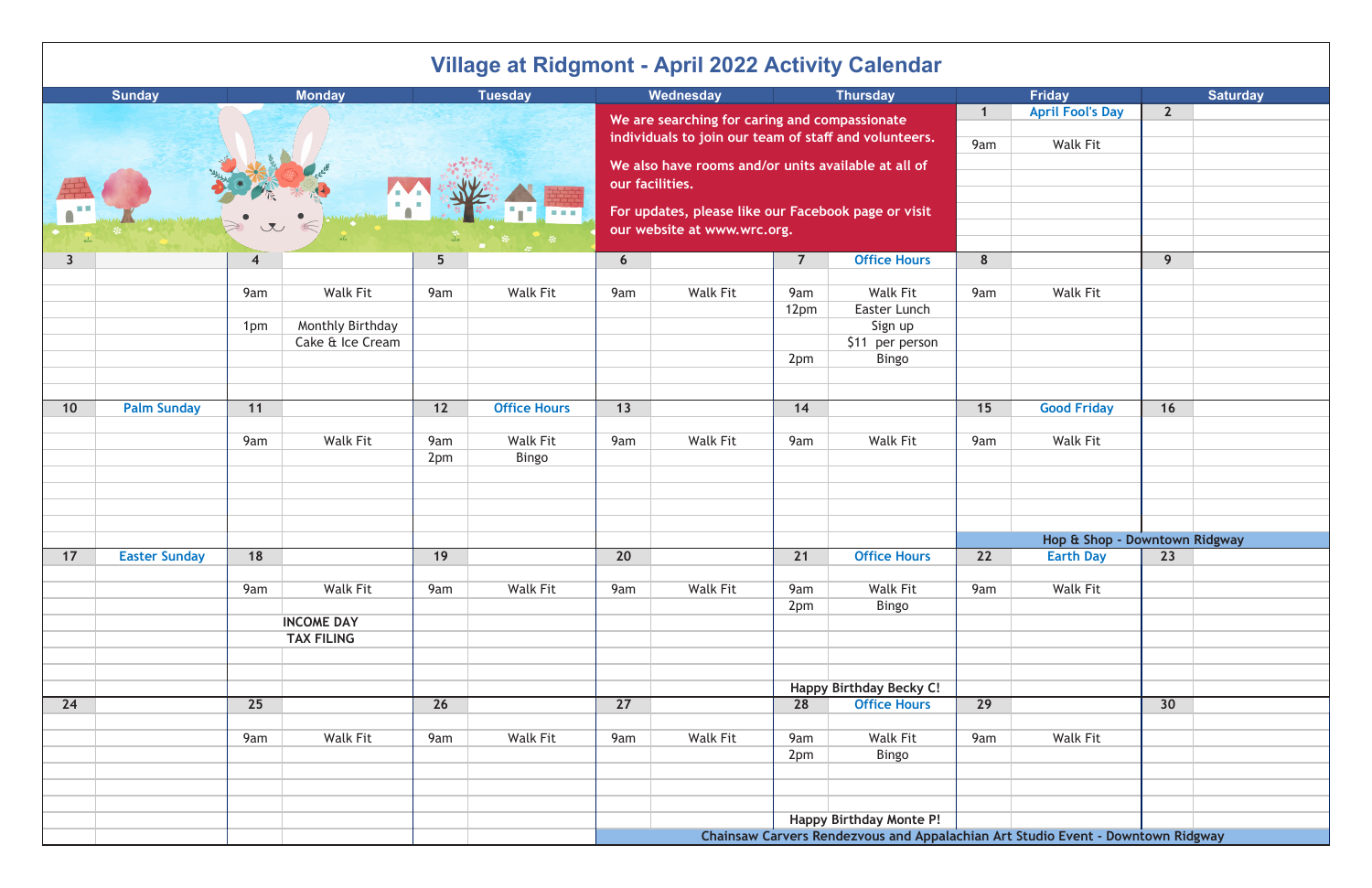| Village at Ridgmont - April 2022 Activity Calendar |                      |                |                   |                                                       |                                                                        |                                                                                 |                         |                         |                                |     |                    |                               |                 |
|----------------------------------------------------|----------------------|----------------|-------------------|-------------------------------------------------------|------------------------------------------------------------------------|---------------------------------------------------------------------------------|-------------------------|-------------------------|--------------------------------|-----|--------------------|-------------------------------|-----------------|
|                                                    | <b>Sunday</b>        |                | <b>Monday</b>     |                                                       | <b>Tuesday</b>                                                         |                                                                                 | Wednesday               |                         | <b>Thursday</b>                |     | <b>Friday</b>      |                               | <b>Saturday</b> |
|                                                    |                      |                |                   | We are searching for caring and compassionate         |                                                                        |                                                                                 | $\mathbf{1}$            | <b>April Fool's Day</b> | $\overline{2}$                 |     |                    |                               |                 |
|                                                    |                      |                |                   | individuals to join our team of staff and volunteers. |                                                                        |                                                                                 |                         | 9am                     | <b>Walk Fit</b>                |     |                    |                               |                 |
|                                                    |                      |                |                   |                                                       |                                                                        |                                                                                 |                         |                         |                                |     |                    |                               |                 |
|                                                    |                      |                |                   |                                                       | We also have rooms and/or units available at all of<br>our facilities. |                                                                                 |                         |                         |                                |     |                    |                               |                 |
|                                                    |                      |                |                   |                                                       |                                                                        |                                                                                 |                         |                         |                                |     |                    |                               |                 |
|                                                    |                      |                |                   |                                                       |                                                                        | For updates, please like our Facebook page or visit                             |                         |                         |                                |     |                    |                               |                 |
|                                                    |                      |                |                   |                                                       |                                                                        | our website at www.wrc.org.                                                     |                         |                         |                                |     |                    |                               |                 |
|                                                    |                      |                |                   |                                                       |                                                                        |                                                                                 |                         |                         | <b>Office Hours</b>            | 8   |                    | 9                             |                 |
| $\overline{\mathbf{3}}$                            |                      | $\overline{4}$ |                   | 5 <sup>5</sup>                                        |                                                                        | $6\overline{6}$                                                                 |                         | $\overline{7}$          |                                |     |                    |                               |                 |
|                                                    |                      | 9am            | <b>Walk Fit</b>   | 9am                                                   | <b>Walk Fit</b>                                                        | 9am                                                                             | <b>Walk Fit</b>         | 9am                     | <b>Walk Fit</b>                | 9am | <b>Walk Fit</b>    |                               |                 |
|                                                    |                      |                |                   |                                                       |                                                                        |                                                                                 |                         | 12pm                    | Easter Lunch                   |     |                    |                               |                 |
|                                                    |                      | 1pm            | Monthly Birthday  |                                                       |                                                                        |                                                                                 |                         |                         | Sign up                        |     |                    |                               |                 |
|                                                    |                      |                | Cake & Ice Cream  |                                                       |                                                                        |                                                                                 |                         |                         | \$11 per person                |     |                    |                               |                 |
|                                                    |                      |                |                   |                                                       |                                                                        |                                                                                 |                         | 2pm                     | Bingo                          |     |                    |                               |                 |
|                                                    |                      |                |                   |                                                       |                                                                        |                                                                                 |                         |                         |                                |     |                    |                               |                 |
| 10                                                 | <b>Palm Sunday</b>   | 11             |                   | $12$                                                  | <b>Office Hours</b>                                                    | 13                                                                              |                         | 14                      |                                | 15  | <b>Good Friday</b> | 16                            |                 |
|                                                    |                      |                |                   |                                                       |                                                                        |                                                                                 |                         |                         |                                |     |                    |                               |                 |
|                                                    |                      | 9am            | <b>Walk Fit</b>   | 9am                                                   | <b>Walk Fit</b>                                                        | 9am                                                                             | <b>Walk Fit</b>         | 9am                     | <b>Walk Fit</b>                | 9am | <b>Walk Fit</b>    |                               |                 |
|                                                    |                      |                |                   | 2pm                                                   | Bingo                                                                  |                                                                                 |                         |                         |                                |     |                    |                               |                 |
|                                                    |                      |                |                   |                                                       |                                                                        |                                                                                 |                         |                         |                                |     |                    |                               |                 |
|                                                    |                      |                |                   |                                                       |                                                                        |                                                                                 |                         |                         |                                |     |                    |                               |                 |
|                                                    |                      |                |                   |                                                       |                                                                        |                                                                                 |                         |                         |                                |     |                    |                               |                 |
|                                                    |                      |                |                   |                                                       |                                                                        |                                                                                 |                         |                         |                                |     |                    | Hop & Shop - Downtown Ridgway |                 |
| 17                                                 | <b>Easter Sunday</b> | 18             |                   | 19                                                    |                                                                        | 20                                                                              |                         | 21                      | <b>Office Hours</b>            | 22  | <b>Earth Day</b>   | 23                            |                 |
|                                                    |                      |                |                   |                                                       |                                                                        |                                                                                 |                         |                         |                                |     |                    |                               |                 |
|                                                    |                      | 9am            | <b>Walk Fit</b>   | 9am                                                   | <b>Walk Fit</b>                                                        | 9am                                                                             | <b>Walk Fit</b>         | 9am                     | <b>Walk Fit</b>                | 9am | <b>Walk Fit</b>    |                               |                 |
|                                                    |                      |                | <b>INCOME DAY</b> |                                                       |                                                                        |                                                                                 |                         | 2pm                     | Bingo                          |     |                    |                               |                 |
|                                                    | <b>TAX FILING</b>    |                |                   |                                                       |                                                                        |                                                                                 |                         |                         |                                |     |                    |                               |                 |
|                                                    |                      |                |                   |                                                       |                                                                        |                                                                                 |                         |                         |                                |     |                    |                               |                 |
|                                                    |                      |                |                   |                                                       |                                                                        |                                                                                 |                         |                         |                                |     |                    |                               |                 |
|                                                    |                      |                |                   |                                                       |                                                                        |                                                                                 |                         |                         | <b>Happy Birthday Becky C!</b> |     |                    |                               |                 |
| 24                                                 |                      | 25             |                   | 26                                                    |                                                                        | 27                                                                              |                         | 28                      | <b>Office Hours</b>            | 29  |                    | 30                            |                 |
|                                                    |                      |                |                   |                                                       |                                                                        |                                                                                 |                         |                         |                                |     |                    |                               |                 |
|                                                    |                      | 9am            | <b>Walk Fit</b>   | 9am                                                   | <b>Walk Fit</b>                                                        | 9am                                                                             | <b>Walk Fit</b>         | 9am                     | <b>Walk Fit</b>                | 9am | <b>Walk Fit</b>    |                               |                 |
|                                                    |                      |                |                   |                                                       |                                                                        |                                                                                 |                         | 2pm                     | Bingo                          |     |                    |                               |                 |
|                                                    |                      |                |                   |                                                       |                                                                        |                                                                                 |                         |                         |                                |     |                    |                               |                 |
|                                                    |                      |                |                   |                                                       |                                                                        |                                                                                 |                         |                         |                                |     |                    |                               |                 |
|                                                    |                      |                |                   |                                                       |                                                                        |                                                                                 | Happy Birthday Monte P! |                         |                                |     |                    |                               |                 |
|                                                    |                      |                |                   |                                                       |                                                                        | Chainsaw Carvers Rendezvous and Appalachian Art Studio Event - Downtown Ridgway |                         |                         |                                |     |                    |                               |                 |

### **Village at Ridgmont - April 2022 Activity Calendar**